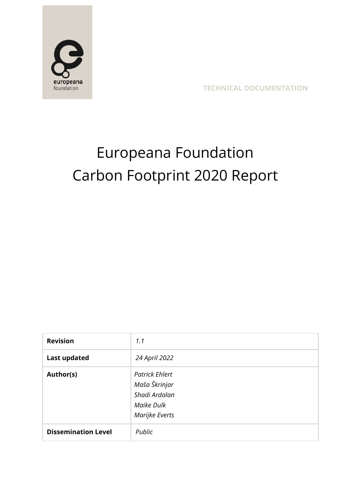

**TECHNICAL DOCUMENTATION**

# Europeana Foundation Carbon Footprint 2020 Report

| <b>Revision</b>            | 1.1                                                                                     |
|----------------------------|-----------------------------------------------------------------------------------------|
| <b>Last updated</b>        | 24 April 2022                                                                           |
| Author(s)                  | <b>Patrick Ehlert</b><br>Maša Škrinjar<br>Shadi Ardalan<br>Maike Dulk<br>Marijke Everts |
| <b>Dissemination Level</b> | Public                                                                                  |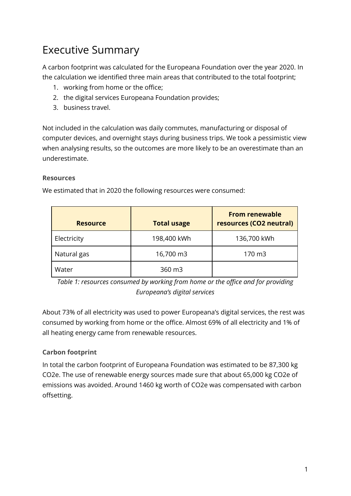## Executive Summary

A carbon footprint was calculated for the Europeana Foundation over the year 2020. In the calculation we identified three main areas that contributed to the total footprint;

- 1. working from home or the office;
- 2. the digital services Europeana Foundation provides;
- 3. business travel.

Not included in the calculation was daily commutes, manufacturing or disposal of computer devices, and overnight stays during business trips. We took a pessimistic view when analysing results, so the outcomes are more likely to be an overestimate than an underestimate.

#### **Resources**

We estimated that in 2020 the following resources were consumed:

| <b>Resource</b> | <b>Total usage</b> | <b>From renewable</b><br>resources (CO2 neutral) |
|-----------------|--------------------|--------------------------------------------------|
| Electricity     | 198,400 kWh        | 136,700 kWh                                      |
| Natural gas     | 16,700 m3          | 170 m3                                           |
| Water           | 360 m3             |                                                  |

*Table 1: resources consumed by working from home or the office and for providing Europeana's digital services*

About 73% of all electricity was used to power Europeana's digital services, the rest was consumed by working from home or the office. Almost 69% of all electricity and 1% of all heating energy came from renewable resources.

#### **Carbon footprint**

In total the carbon footprint of Europeana Foundation was estimated to be 87,300 kg CO2e. The use of renewable energy sources made sure that about 65,000 kg CO2e of emissions was avoided. Around 1460 kg worth of CO2e was compensated with carbon offsetting.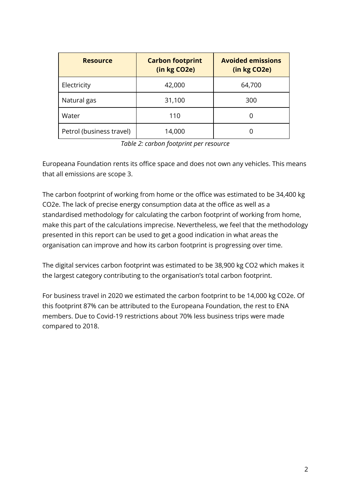| <b>Resource</b>          | <b>Carbon footprint</b><br>(in kg CO2e) | <b>Avoided emissions</b><br>(in kg CO2e) |
|--------------------------|-----------------------------------------|------------------------------------------|
| Electricity              | 42,000                                  | 64,700                                   |
| Natural gas              | 31,100                                  | 300                                      |
| Water                    | 110                                     |                                          |
| Petrol (business travel) | 14,000                                  |                                          |

*Table 2: carbon footprint per resource*

Europeana Foundation rents its office space and does not own any vehicles. This means that all emissions are scope 3.

The carbon footprint of working from home or the office was estimated to be 34,400 kg CO2e. The lack of precise energy consumption data at the office as well as a standardised methodology for calculating the carbon footprint of working from home, make this part of the calculations imprecise. Nevertheless, we feel that the methodology presented in this report can be used to get a good indication in what areas the organisation can improve and how its carbon footprint is progressing over time.

The digital services carbon footprint was estimated to be 38,900 kg CO2 which makes it the largest category contributing to the organisation's total carbon footprint.

For business travel in 2020 we estimated the carbon footprint to be 14,000 kg CO2e. Of this footprint 87% can be attributed to the Europeana Foundation, the rest to ENA members. Due to Covid-19 restrictions about 70% less business trips were made compared to 2018.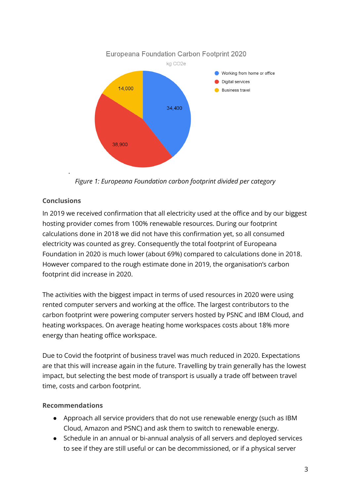

*Figure 1: Europeana Foundation carbon footprint divided per category*

#### **Conclusions**

.

In 2019 we received confirmation that all electricity used at the office and by our biggest hosting provider comes from 100% renewable resources. During our footprint calculations done in 2018 we did not have this confirmation yet, so all consumed electricity was counted as grey. Consequently the total footprint of Europeana Foundation in 2020 is much lower (about 69%) compared to calculations done in 2018. However compared to the rough estimate done in 2019, the organisation's carbon footprint did increase in 2020.

The activities with the biggest impact in terms of used resources in 2020 were using rented computer servers and working at the office. The largest contributors to the carbon footprint were powering computer servers hosted by PSNC and IBM Cloud, and heating workspaces. On average heating home workspaces costs about 18% more energy than heating office workspace.

Due to Covid the footprint of business travel was much reduced in 2020. Expectations are that this will increase again in the future. Travelling by train generally has the lowest impact, but selecting the best mode of transport is usually a trade off between travel time, costs and carbon footprint.

#### **Recommendations**

- Approach all service providers that do not use renewable energy (such as IBM Cloud, Amazon and PSNC) and ask them to switch to renewable energy.
- Schedule in an annual or bi-annual analysis of all servers and deployed services to see if they are still useful or can be decommissioned, or if a physical server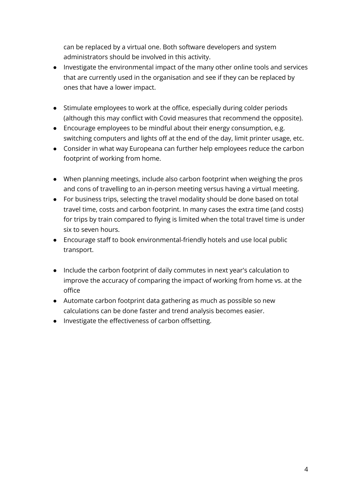can be replaced by a virtual one. Both software developers and system administrators should be involved in this activity.

- Investigate the environmental impact of the many other online tools and services that are currently used in the organisation and see if they can be replaced by ones that have a lower impact.
- Stimulate employees to work at the office, especially during colder periods (although this may conflict with Covid measures that recommend the opposite).
- Encourage employees to be mindful about their energy consumption, e.g. switching computers and lights off at the end of the day, limit printer usage, etc.
- Consider in what way Europeana can further help employees reduce the carbon footprint of working from home.
- When planning meetings, include also carbon footprint when weighing the pros and cons of travelling to an in-person meeting versus having a virtual meeting.
- For business trips, selecting the travel modality should be done based on total travel time, costs and carbon footprint. In many cases the extra time (and costs) for trips by train compared to flying is limited when the total travel time is under six to seven hours.
- Encourage staff to book environmental-friendly hotels and use local public transport.
- Include the carbon footprint of daily commutes in next year's calculation to improve the accuracy of comparing the impact of working from home vs. at the office
- Automate carbon footprint data gathering as much as possible so new calculations can be done faster and trend analysis becomes easier.
- Investigate the effectiveness of carbon offsetting.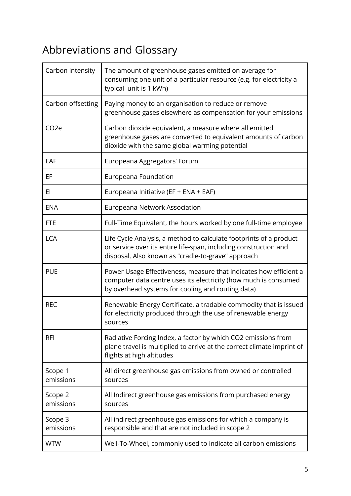## Abbreviations and Glossary

| Carbon intensity     | The amount of greenhouse gases emitted on average for<br>consuming one unit of a particular resource (e.g. for electricity a<br>typical unit is 1 kWh)                                       |
|----------------------|----------------------------------------------------------------------------------------------------------------------------------------------------------------------------------------------|
| Carbon offsetting    | Paying money to an organisation to reduce or remove<br>greenhouse gases elsewhere as compensation for your emissions                                                                         |
| CO <sub>2</sub> e    | Carbon dioxide equivalent, a measure where all emitted<br>greenhouse gases are converted to equivalent amounts of carbon<br>dioxide with the same global warming potential                   |
| EAF                  | Europeana Aggregators' Forum                                                                                                                                                                 |
| EF                   | Europeana Foundation                                                                                                                                                                         |
| EI                   | Europeana Initiative (EF + ENA + EAF)                                                                                                                                                        |
| <b>ENA</b>           | Europeana Network Association                                                                                                                                                                |
| <b>FTE</b>           | Full-Time Equivalent, the hours worked by one full-time employee                                                                                                                             |
| <b>LCA</b>           | Life Cycle Analysis, a method to calculate footprints of a product<br>or service over its entire life-span, including construction and<br>disposal. Also known as "cradle-to-grave" approach |
| <b>PUE</b>           | Power Usage Effectiveness, measure that indicates how efficient a<br>computer data centre uses its electricity (how much is consumed<br>by overhead systems for cooling and routing data)    |
| <b>REC</b>           | Renewable Energy Certificate, a tradable commodity that is issued<br>for electricity produced through the use of renewable energy<br>sources                                                 |
| <b>RFI</b>           | Radiative Forcing Index, a factor by which CO2 emissions from<br>plane travel is multiplied to arrive at the correct climate imprint of<br>flights at high altitudes                         |
| Scope 1<br>emissions | All direct greenhouse gas emissions from owned or controlled<br>sources                                                                                                                      |
| Scope 2<br>emissions | All Indirect greenhouse gas emissions from purchased energy<br>sources                                                                                                                       |
| Scope 3<br>emissions | All indirect greenhouse gas emissions for which a company is<br>responsible and that are not included in scope 2                                                                             |
| <b>WTW</b>           | Well-To-Wheel, commonly used to indicate all carbon emissions                                                                                                                                |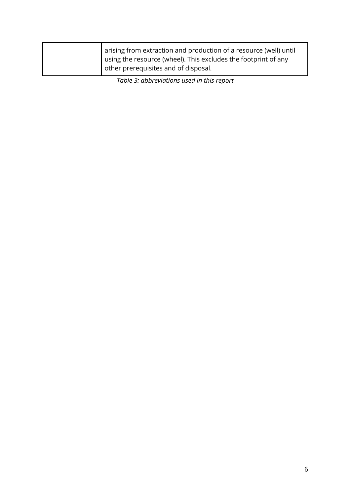| arising from extraction and production of a resource (well) until |
|-------------------------------------------------------------------|
| I using the resource (wheel). This excludes the footprint of any  |
| other prerequisites and of disposal.                              |

*Table 3: abbreviations used in this report*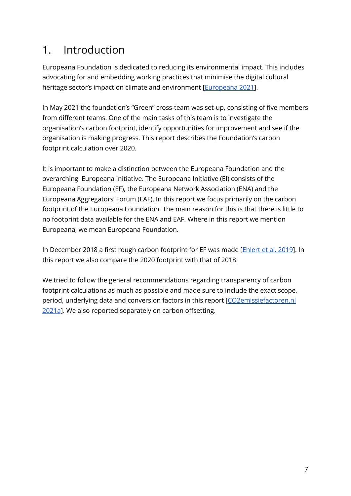## 1. Introduction

Europeana Foundation is dedicated to reducing its environmental impact. This includes advocating for and embedding working practices that minimise the digital cultural heritage sector's impact on climate and environment [[Europeana](#page-36-0) 2021].

In May 2021 the foundation's "Green" cross-team was set-up, consisting of five members from different teams. One of the main tasks of this team is to investigate the organisation's carbon footprint, identify opportunities for improvement and see if the organisation is making progress. This report describes the Foundation's carbon footprint calculation over 2020.

It is important to make a distinction between the Europeana Foundation and the overarching Europeana Initiative. The Europeana Initiative (EI) consists of the Europeana Foundation (EF), the Europeana Network Association (ENA) and the Europeana Aggregators' Forum (EAF). In this report we focus primarily on the carbon footprint of the Europeana Foundation. The main reason for this is that there is little to no footprint data available for the ENA and EAF. Where in this report we mention Europeana, we mean Europeana Foundation.

In December 2018 a first rough carbon footprint for EF was made [[Ehlert](#page-36-1) et al. 2019]. In this report we also compare the 2020 footprint with that of 2018.

We tried to follow the general recommendations regarding transparency of carbon footprint calculations as much as possible and made sure to include the exact scope, period, underlying data and conversion factors in this report [[CO2emissiefactoren.nl](#page-35-0) [2021a](#page-35-0)]. We also reported separately on carbon offsetting.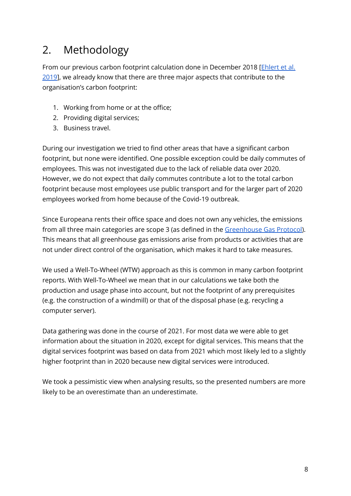## 2. Methodology

From our previous carbon footprint calculation done in December 2018 [[Ehlert](#page-36-1) et al. [2019](#page-36-1)], we already know that there are three major aspects that contribute to the organisation's carbon footprint:

- 1. Working from home or at the office;
- 2. Providing digital services;
- 3. Business travel.

During our investigation we tried to find other areas that have a significant carbon footprint, but none were identified. One possible exception could be daily commutes of employees. This was not investigated due to the lack of reliable data over 2020. However, we do not expect that daily commutes contribute a lot to the total carbon footprint because most employees use public transport and for the larger part of 2020 employees worked from home because of the Covid-19 outbreak.

Since Europeana rents their office space and does not own any vehicles, the emissions from all three main categories are scope 3 (as defined in the [Greenhouse](#page-36-2) Gas Protocol). This means that all greenhouse gas emissions arise from products or activities that are not under direct control of the organisation, which makes it hard to take measures.

We used a Well-To-Wheel (WTW) approach as this is common in many carbon footprint reports. With Well-To-Wheel we mean that in our calculations we take both the production and usage phase into account, but not the footprint of any prerequisites (e.g. the construction of a windmill) or that of the disposal phase (e.g. recycling a computer server).

Data gathering was done in the course of 2021. For most data we were able to get information about the situation in 2020, except for digital services. This means that the digital services footprint was based on data from 2021 which most likely led to a slightly higher footprint than in 2020 because new digital services were introduced.

We took a pessimistic view when analysing results, so the presented numbers are more likely to be an overestimate than an underestimate.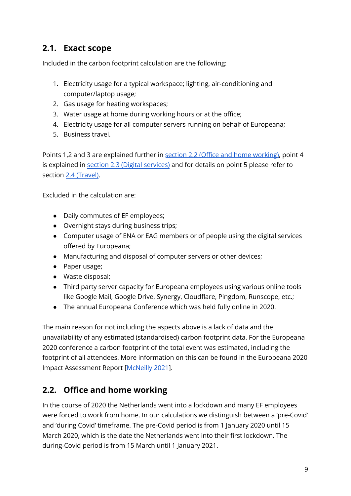### **2.1. Exact scope**

Included in the carbon footprint calculation are the following:

- 1. Electricity usage for a typical workspace; lighting, air-conditioning and computer/laptop usage;
- 2. Gas usage for heating workspaces;
- 3. Water usage at home during working hours or at the office;
- 4. Electricity usage for all computer servers running on behalf of Europeana;
- 5. Business travel.

Points 1,2 and 3 are explained further in section 2.2 (Office and home [working\),](#page-9-0) point 4 is explained in section 2.3 (Digital services) and for details on point 5 please refer to section 2.4 [\(Travel\)](#page-15-0).

Excluded in the calculation are:

- Daily commutes of EF employees;
- Overnight stays during business trips;
- Computer usage of ENA or EAG members or of people using the digital services offered by Europeana;
- Manufacturing and disposal of computer servers or other devices;
- Paper usage;
- Waste disposal;
- Third party server capacity for Europeana employees using various online tools like Google Mail, Google Drive, Synergy, Cloudflare, Pingdom, Runscope, etc.;
- The annual Europeana Conference which was held fully online in 2020.

The main reason for not including the aspects above is a lack of data and the unavailability of any estimated (standardised) carbon footprint data. For the Europeana 2020 conference a carbon footprint of the total event was estimated, including the footprint of all attendees. More information on this can be found in the Europeana 2020 Impact Assessment Report [\[McNeilly](#page-36-3) 2021].

## <span id="page-9-0"></span>**2.2. Office and home working**

In the course of 2020 the Netherlands went into a lockdown and many EF employees were forced to work from home. In our calculations we distinguish between a 'pre-Covid' and 'during Covid' timeframe. The pre-Covid period is from 1 January 2020 until 15 March 2020, which is the date the Netherlands went into their first lockdown. The during-Covid period is from 15 March until 1 January 2021.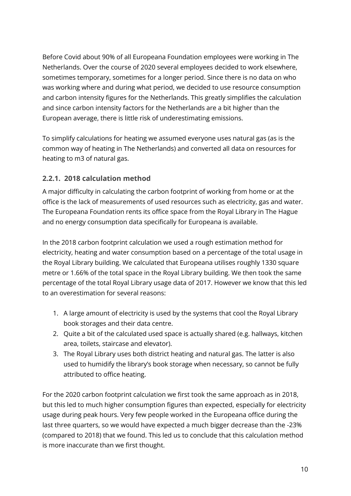Before Covid about 90% of all Europeana Foundation employees were working in The Netherlands. Over the course of 2020 several employees decided to work elsewhere, sometimes temporary, sometimes for a longer period. Since there is no data on who was working where and during what period, we decided to use resource consumption and carbon intensity figures for the Netherlands. This greatly simplifies the calculation and since carbon intensity factors for the Netherlands are a bit higher than the European average, there is little risk of underestimating emissions.

To simplify calculations for heating we assumed everyone uses natural gas (as is the common way of heating in The Netherlands) and converted all data on resources for heating to m3 of natural gas.

#### **2.2.1. 2018 calculation method**

A major difficulty in calculating the carbon footprint of working from home or at the office is the lack of measurements of used resources such as electricity, gas and water. The Europeana Foundation rents its office space from the Royal Library in The Hague and no energy consumption data specifically for Europeana is available.

In the 2018 carbon footprint calculation we used a rough estimation method for electricity, heating and water consumption based on a percentage of the total usage in the Royal Library building. We calculated that Europeana utilises roughly 1330 square metre or 1.66% of the total space in the Royal Library building. We then took the same percentage of the total Royal Library usage data of 2017. However we know that this led to an overestimation for several reasons:

- 1. A large amount of electricity is used by the systems that cool the Royal Library book storages and their data centre.
- 2. Quite a bit of the calculated used space is actually shared (e.g. hallways, kitchen area, toilets, staircase and elevator).
- 3. The Royal Library uses both district heating and natural gas. The latter is also used to humidify the library's book storage when necessary, so cannot be fully attributed to office heating.

For the 2020 carbon footprint calculation we first took the same approach as in 2018, but this led to much higher consumption figures than expected, especially for electricity usage during peak hours. Very few people worked in the Europeana office during the last three quarters, so we would have expected a much bigger decrease than the -23% (compared to 2018) that we found. This led us to conclude that this calculation method is more inaccurate than we first thought.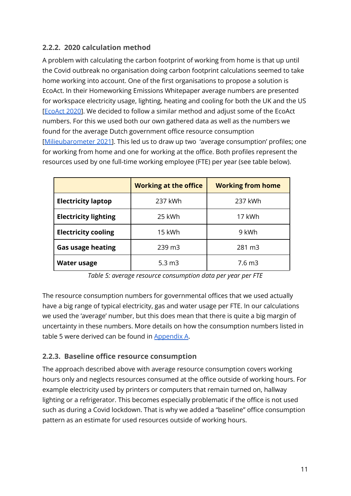#### **2.2.2. 2020 calculation method**

A problem with calculating the carbon footprint of working from home is that up until the Covid outbreak no organisation doing carbon footprint calculations seemed to take home working into account. One of the first organisations to propose a solution is EcoAct. In their Homeworking Emissions Whitepaper average numbers are presented for workspace electricity usage, lighting, heating and cooling for both the UK and the US [[EcoAct](#page-35-1) 2020]. We decided to follow a similar method and adjust some of the EcoAct numbers. For this we used both our own gathered data as well as the numbers we found for the average Dutch government office resource consumption [[Milieubarometer](#page-36-4) 2021]. This led us to draw up two 'average consumption' profiles; one for working from home and one for working at the office. Both profiles represent the resources used by one full-time working employee (FTE) per year (see table below).

|                             | <b>Working at the office</b> | <b>Working from home</b> |
|-----------------------------|------------------------------|--------------------------|
| <b>Electricity laptop</b>   | 237 kWh                      | 237 kWh                  |
| <b>Electricity lighting</b> | 25 kWh                       | 17 kWh                   |
| <b>Electricity cooling</b>  | 15 kWh                       | 9 kWh                    |
| <b>Gas usage heating</b>    | 239 m3                       | 281 m3                   |
| <b>Water usage</b>          | $5.3 \, m3$                  | 7.6 <sub>m3</sub>        |

*Table 5: average resource consumption data per year per FTE*

The resource consumption numbers for governmental offices that we used actually have a big range of typical electricity, gas and water usage per FTE. In our calculations we used the 'average' number, but this does mean that there is quite a big margin of uncertainty in these numbers. More details on how the consumption numbers listed in table 5 were derived can be found in Appendix A.

#### **2.2.3. Baseline office resource consumption**

The approach described above with average resource consumption covers working hours only and neglects resources consumed at the office outside of working hours. For example electricity used by printers or computers that remain turned on, hallway lighting or a refrigerator. This becomes especially problematic if the office is not used such as during a Covid lockdown. That is why we added a "baseline" office consumption pattern as an estimate for used resources outside of working hours.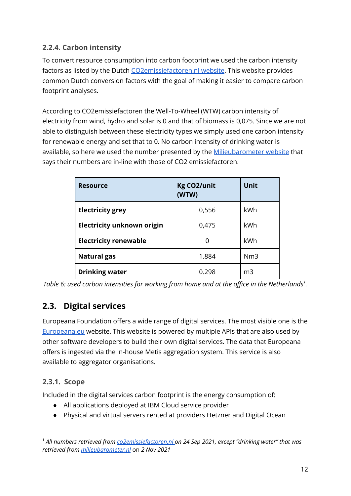#### <span id="page-12-0"></span>**2.2.4. Carbon intensity**

To convert resource consumption into carbon footprint we used the carbon intensity factors as listed by the Dutch [CO2emissiefactoren.nl](#page-35-2) website. This website provides common Dutch conversion factors with the goal of making it easier to compare carbon footprint analyses.

According to CO2emissiefactoren the Well-To-Wheel (WTW) carbon intensity of electricity from wind, hydro and solar is 0 and that of biomass is 0,075. Since we are not able to distinguish between these electricity types we simply used one carbon intensity for renewable energy and set that to 0. No carbon intensity of drinking water is available, so here we used the number presented by the [Milieubarometer](#page-36-4) website that says their numbers are in-line with those of CO2 emissiefactoren.

| <b>Resource</b>                   | <b>Kg CO2/unit</b><br>(WTW) | Unit           |
|-----------------------------------|-----------------------------|----------------|
| <b>Electricity grey</b>           | 0,556                       | kWh            |
| <b>Electricity unknown origin</b> | 0,475                       | kWh            |
| <b>Electricity renewable</b>      | 0                           | kWh            |
| <b>Natural gas</b>                | 1.884                       | Nm3            |
| <b>Drinking water</b>             | 0.298                       | m <sub>3</sub> |

*Table 6: used carbon intensities for working from home and at the office in the Netherlands 1 .*

## **2.3. Digital services**

Europeana Foundation offers a wide range of digital services. The most visible one is the [Europeana.eu](https://www.europeana.eu) website. This website is powered by multiple APIs that are also used by other software developers to build their own digital services. The data that Europeana offers is ingested via the in-house Metis aggregation system. This service is also available to aggregator organisations.

#### **2.3.1. Scope**

Included in the digital services carbon footprint is the energy consumption of:

- All applications deployed at IBM Cloud service provider
- Physical and virtual servers rented at providers Hetzner and Digital Ocean

<sup>1</sup> *All numbers retrieved from [co2emissiefactoren.nl](#page-35-2) on 24 Sep 2021, except "drinking water" that was retrieved from [milieubarometer.nl](#page-36-4)* on *2 Nov 2021*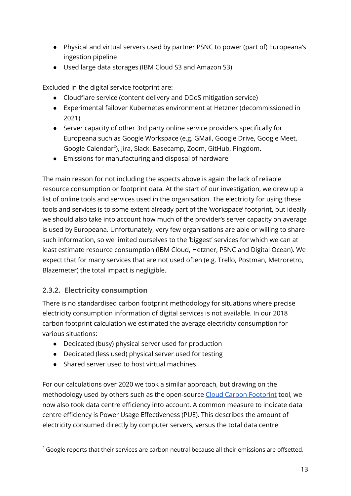- Physical and virtual servers used by partner PSNC to power (part of) Europeana's ingestion pipeline
- Used large data storages (IBM Cloud S3 and Amazon S3)

Excluded in the digital service footprint are:

- Cloudflare service (content delivery and DDoS mitigation service)
- Experimental failover Kubernetes environment at Hetzner (decommissioned in 2021)
- Server capacity of other 3rd party online service providers specifically for Europeana such as Google Workspace (e.g. GMail, Google Drive, Google Meet, Google Calendar<sup>2</sup>), Jira, Slack, Basecamp, Zoom, GitHub, Pingdom.
- Emissions for manufacturing and disposal of hardware

The main reason for not including the aspects above is again the lack of reliable resource consumption or footprint data. At the start of our investigation, we drew up a list of online tools and services used in the organisation. The electricity for using these tools and services is to some extent already part of the 'workspace' footprint, but ideally we should also take into account how much of the provider's server capacity on average is used by Europeana. Unfortunately, very few organisations are able or willing to share such information, so we limited ourselves to the 'biggest' services for which we can at least estimate resource consumption (IBM Cloud, Hetzner, PSNC and Digital Ocean). We expect that for many services that are not used often (e.g. Trello, Postman, Metroretro, Blazemeter) the total impact is negligible.

#### **2.3.2. Electricity consumption**

There is no standardised carbon footprint methodology for situations where precise electricity consumption information of digital services is not available. In our 2018 carbon footprint calculation we estimated the average electricity consumption for various situations:

- Dedicated (busy) physical server used for production
- Dedicated (less used) physical server used for testing
- Shared server used to host virtual machines

For our calculations over 2020 we took a similar approach, but drawing on the methodology used by others such as the open-source Cloud Carbon [Footprint](#page-35-3) tool, we now also took data centre efficiency into account. A common measure to indicate data centre efficiency is Power Usage Effectiveness (PUE). This describes the amount of electricity consumed directly by computer servers, versus the total data centre

 $2$  Google reports that their services are carbon neutral because all their emissions are offsetted.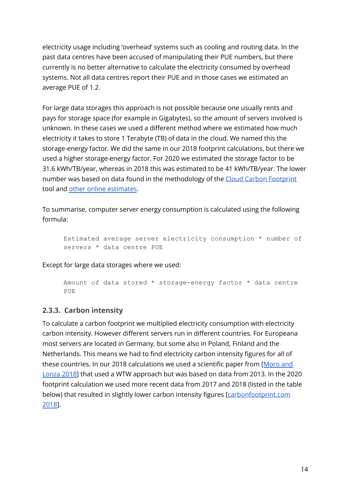electricity usage including 'overhead' systems such as cooling and routing data. In the past data centres have been accused of manipulating their PUE numbers, but there currently is no better alternative to calculate the electricity consumed by overhead systems. Not all data centres report their PUE and in those cases we estimated an average PUE of 1.2.

For large data storages this approach is not possible because one usually rents and pays for storage space (for example in Gigabytes), so the amount of servers involved is unknown. In these cases we used a different method where we estimated how much electricity it takes to store 1 Terabyte (TB) of data in the cloud. We named this the storage-energy factor. We did the same in our 2018 footprint calculations, but there we used a higher storage-energy factor. For 2020 we estimated the storage factor to be 31.6 kWh/TB/year, whereas in 2018 this was estimated to be 41 kWh/TB/year. The lower number was based on data found in the methodology of the Cloud Carbon [Footprint](https://www.cloudcarbonfootprint.org/docs/methodology/#appendix-i-energy-coefficients) tool and other online [estimates](#page-36-5).

To summarise, computer server energy consumption is calculated using the following formula:

```
Estimated average server electricity consumption * number of
servers * data centre PUE
```
Except for large data storages where we used:

Amount of data stored \* storage-energy factor \* data centre PUE

#### **2.3.3. Carbon intensity**

To calculate a carbon footprint we multiplied electricity consumption with electricity carbon intensity. However different servers run in different countries. For Europeana most servers are located in Germany, but some also in Poland, Finland and the Netherlands. This means we had to find electricity carbon intensity figures for all of these countries. In our 2018 calculations we used a scientific paper from [[Moro](#page-36-6) and [Lonza](#page-36-6) 2018] that used a WTW approach but was based on data from 2013. In the 2020 footprint calculation we used more recent data from 2017 and 2018 (listed in the table below) that resulted in slightly lower carbon intensity figures [[carbonfootprint.com](#page-35-4)] [2018](#page-35-4)].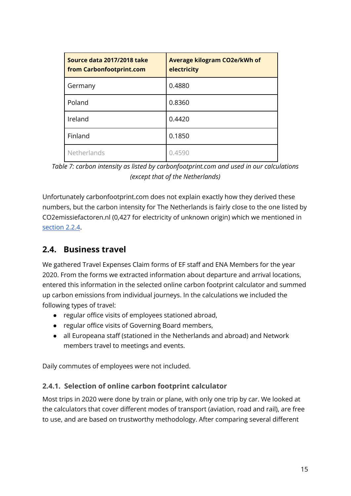| Source data 2017/2018 take<br>from Carbonfootprint.com | <b>Average kilogram CO2e/kWh of</b><br>electricity |
|--------------------------------------------------------|----------------------------------------------------|
| Germany                                                | 0.4880                                             |
| Poland                                                 | 0.8360                                             |
| Ireland                                                | 0.4420                                             |
| Finland                                                | 0.1850                                             |
| Netherlands                                            | 0.4590                                             |

*Table 7: carbon intensity as listed by carbonfootprint.com and used in our calculations (except that of the Netherlands)*

Unfortunately carbonfootprint.com does not explain exactly how they derived these numbers, but the carbon intensity for The Netherlands is fairly close to the one listed by CO2emissiefactoren.nl (0,427 for electricity of unknown origin) which we mentioned in [section](#page-12-0) 2.2.4.

### <span id="page-15-0"></span>**2.4. Business travel**

We gathered Travel Expenses Claim forms of EF staff and ENA Members for the year 2020. From the forms we extracted information about departure and arrival locations, entered this information in the selected online carbon footprint calculator and summed up carbon emissions from individual journeys. In the calculations we included the following types of travel:

- regular office visits of employees stationed abroad,
- regular office visits of Governing Board members,
- all Europeana staff (stationed in the Netherlands and abroad) and Network members travel to meetings and events.

Daily commutes of employees were not included.

#### **2.4.1. Selection of online carbon footprint calculator**

Most trips in 2020 were done by train or plane, with only one trip by car. We looked at the calculators that cover different modes of transport (aviation, road and rail), are free to use, and are based on trustworthy methodology. After comparing several different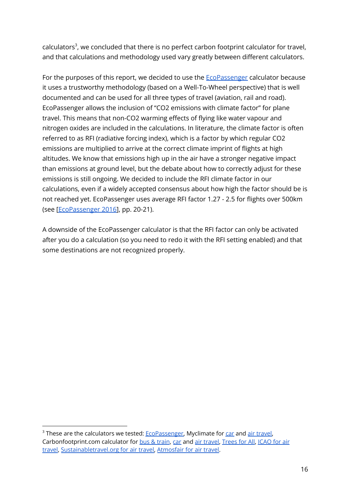calculators<sup>3</sup>, we concluded that there is no perfect carbon footprint calculator for travel, and that calculations and methodology used vary greatly between different calculators.

For the purposes of this report, we decided to use the **[EcoPassenger](#page-35-5)** calculator because it uses a trustworthy methodology (based on a Well-To-Wheel perspective) that is well documented and can be used for all three types of travel (aviation, rail and road). EcoPassenger allows the inclusion of "CO2 emissions with climate factor" for plane travel. This means that non-CO2 warming effects of flying like water vapour and nitrogen oxides are included in the calculations. In literature, the climate factor is often referred to as RFI (radiative forcing index), which is a factor by which regular CO2 emissions are multiplied to arrive at the correct climate imprint of flights at high altitudes. We know that emissions high up in the air have a stronger negative impact than emissions at ground level, but the debate about how to correctly adjust for these emissions is still ongoing. We decided to include the RFI climate factor in our calculations, even if a widely accepted consensus about how high the factor should be is not reached yet. EcoPassenger uses average RFI factor 1.27 - 2.5 for flights over 500km (see [\[EcoPassenger](#page-35-6) 2016], pp. 20-21).

A downside of the EcoPassenger calculator is that the RFI factor can only be activated after you do a calculation (so you need to redo it with the RFI setting enabled) and that some destinations are not recognized properly.

<sup>&</sup>lt;sup>3</sup> These are the calculators we tested: **EcoPassenger**, Myclimate for [car](https://co2.myclimate.org/en/car_calculators/new) and air [travel,](https://co2.myclimate.org/en/flight_calculators/new) Carbonfootprint.com calculator for bus & [train](https://calculator.carbonfootprint.com/calculator.aspx?tab=3), [car](https://calculator.carbonfootprint.com/calculator.aspx?tab=4) and air [travel](https://calculator.carbonfootprint.com/calculator.aspx?tab=3), [Trees](https://treesforall.nl/en/calculate-emission/) for All, [ICAO](https://www.icao.int/environmental-protection/CarbonOffset/Pages/default.aspx) for air [travel,](https://www.icao.int/environmental-protection/CarbonOffset/Pages/default.aspx) [Sustainabletravel.org](https://sustainabletravel.org/our-work/carbon-offsets/calculate-footprint/) for air travel, [Atmosfair](https://www.atmosfair.de/en/offset/flight/) for air travel.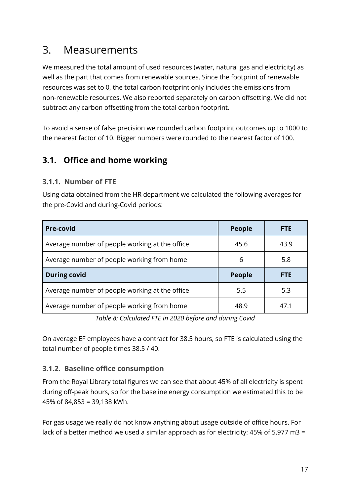## 3. Measurements

We measured the total amount of used resources (water, natural gas and electricity) as well as the part that comes from renewable sources. Since the footprint of renewable resources was set to 0, the total carbon footprint only includes the emissions from non-renewable resources. We also reported separately on carbon offsetting. We did not subtract any carbon offsetting from the total carbon footprint.

To avoid a sense of false precision we rounded carbon footprint outcomes up to 1000 to the nearest factor of 10. Bigger numbers were rounded to the nearest factor of 100.

### **3.1. Office and home working**

#### **3.1.1. Number of FTE**

Using data obtained from the HR department we calculated the following averages for the pre-Covid and during-Covid periods:

| <b>Pre-covid</b>                               | <b>People</b> | <b>FTE</b> |
|------------------------------------------------|---------------|------------|
| Average number of people working at the office | 45.6          | 43.9       |
| Average number of people working from home     | 6             | 5.8        |
| <b>During covid</b>                            | <b>People</b> | FTE        |
| Average number of people working at the office | 5.5           | 5.3        |
| Average number of people working from home     | 48.9          | 47.1       |

*Table 8: Calculated FTE in 2020 before and during Covid*

On average EF employees have a contract for 38.5 hours, so FTE is calculated using the total number of people times 38.5 / 40.

#### **3.1.2. Baseline office consumption**

From the Royal Library total figures we can see that about 45% of all electricity is spent during off-peak hours, so for the baseline energy consumption we estimated this to be 45% of 84,853 = 39,138 kWh.

For gas usage we really do not know anything about usage outside of office hours. For lack of a better method we used a similar approach as for electricity: 45% of 5,977 m3 =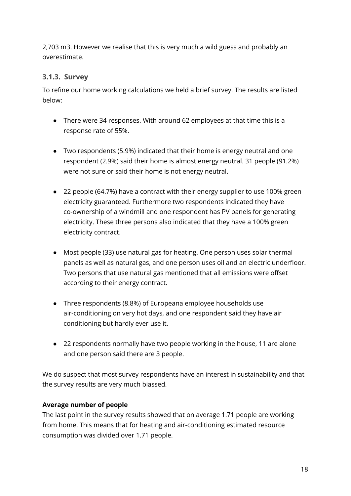2,703 m3. However we realise that this is very much a wild guess and probably an overestimate.

#### **3.1.3. Survey**

To refine our home working calculations we held a brief survey. The results are listed below:

- There were 34 responses. With around 62 employees at that time this is a response rate of 55%.
- Two respondents (5.9%) indicated that their home is energy neutral and one respondent (2.9%) said their home is almost energy neutral. 31 people (91.2%) were not sure or said their home is not energy neutral.
- 22 people (64.7%) have a contract with their energy supplier to use 100% green electricity guaranteed. Furthermore two respondents indicated they have co-ownership of a windmill and one respondent has PV panels for generating electricity. These three persons also indicated that they have a 100% green electricity contract.
- Most people (33) use natural gas for heating. One person uses solar thermal panels as well as natural gas, and one person uses oil and an electric underfloor. Two persons that use natural gas mentioned that all emissions were offset according to their energy contract.
- Three respondents (8.8%) of Europeana employee households use air-conditioning on very hot days, and one respondent said they have air conditioning but hardly ever use it.
- 22 respondents normally have two people working in the house, 11 are alone and one person said there are 3 people.

We do suspect that most survey respondents have an interest in sustainability and that the survey results are very much biassed.

#### **Average number of people**

The last point in the survey results showed that on average 1.71 people are working from home. This means that for heating and air-conditioning estimated resource consumption was divided over 1.71 people.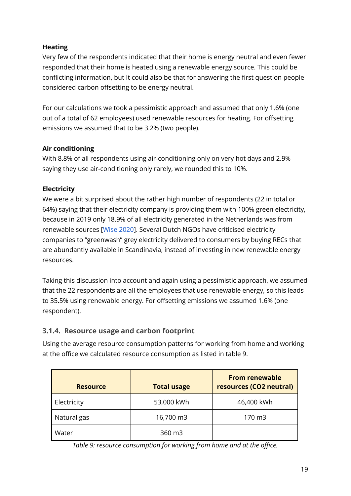#### **Heating**

Very few of the respondents indicated that their home is energy neutral and even fewer responded that their home is heated using a renewable energy source. This could be conflicting information, but It could also be that for answering the first question people considered carbon offsetting to be energy neutral.

For our calculations we took a pessimistic approach and assumed that only 1.6% (one out of a total of 62 employees) used renewable resources for heating. For offsetting emissions we assumed that to be 3.2% (two people).

#### **Air conditioning**

With 8.8% of all respondents using air-conditioning only on very hot days and 2.9% saying they use air-conditioning only rarely, we rounded this to 10%.

#### **Electricity**

We were a bit surprised about the rather high number of respondents (22 in total or 64%) saying that their electricity company is providing them with 100% green electricity, because in 2019 only 18.9% of all electricity generated in the Netherlands was from renewable sources [Wise [2020](#page-36-7)]. Several Dutch NGOs have criticised electricity companies to "greenwash" grey electricity delivered to consumers by buying RECs that are abundantly available in Scandinavia, instead of investing in new renewable energy resources.

Taking this discussion into account and again using a pessimistic approach, we assumed that the 22 respondents are all the employees that use renewable energy, so this leads to 35.5% using renewable energy. For offsetting emissions we assumed 1.6% (one respondent).

#### **3.1.4. Resource usage and carbon footprint**

Using the average resource consumption patterns for working from home and working at the office we calculated resource consumption as listed in table 9.

| <b>Resource</b> | <b>Total usage</b> | <b>From renewable</b><br>resources (CO2 neutral) |
|-----------------|--------------------|--------------------------------------------------|
| Electricity     | 53,000 kWh         | 46,400 kWh                                       |
| Natural gas     | 16,700 m3          | 170 m3                                           |
| Water           | 360 m3             |                                                  |

*Table 9: resource consumption for working from home and at the office.*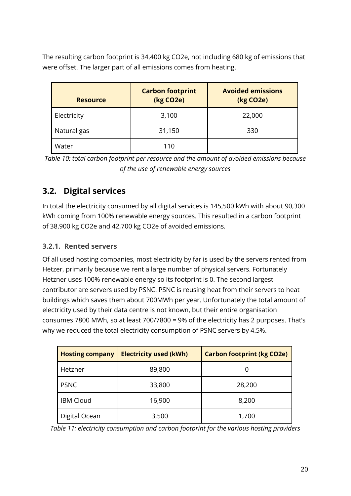The resulting carbon footprint is 34,400 kg CO2e, not including 680 kg of emissions that were offset. The larger part of all emissions comes from heating.

| <b>Resource</b> | <b>Carbon footprint</b><br>(kg CO <sub>2</sub> e) | <b>Avoided emissions</b><br>(kg CO <sub>2</sub> e) |
|-----------------|---------------------------------------------------|----------------------------------------------------|
| Electricity     | 3,100                                             | 22,000                                             |
| Natural gas     | 31,150                                            | 330                                                |
| Water           | 110                                               |                                                    |

*Table 10: total carbon footprint per resource and the amount of avoided emissions because of the use of renewable energy sources*

## **3.2. Digital services**

In total the electricity consumed by all digital services is 145,500 kWh with about 90,300 kWh coming from 100% renewable energy sources. This resulted in a carbon footprint of 38,900 kg CO2e and 42,700 kg CO2e of avoided emissions.

#### **3.2.1. Rented servers**

Of all used hosting companies, most electricity by far is used by the servers rented from Hetzer, primarily because we rent a large number of physical servers. Fortunately Hetzner uses 100% renewable energy so its footprint is 0. The second largest contributor are servers used by PSNC. PSNC is reusing heat from their servers to heat buildings which saves them about 700MWh per year. Unfortunately the total amount of electricity used by their data centre is not known, but their entire organisation consumes 7800 MWh, so at least 700/7800 = 9% of the electricity has 2 purposes. That's why we reduced the total electricity consumption of PSNC servers by 4.5%.

| <b>Hosting company</b> | <b>Electricity used (kWh)</b> | <b>Carbon footprint (kg CO2e)</b> |
|------------------------|-------------------------------|-----------------------------------|
| Hetzner                | 89,800                        |                                   |
| <b>PSNC</b>            | 33,800                        | 28,200                            |
| <b>IBM Cloud</b>       | 16,900                        | 8,200                             |
| Digital Ocean          | 3,500                         | 1,700                             |

*Table 11: electricity consumption and carbon footprint for the various hosting providers*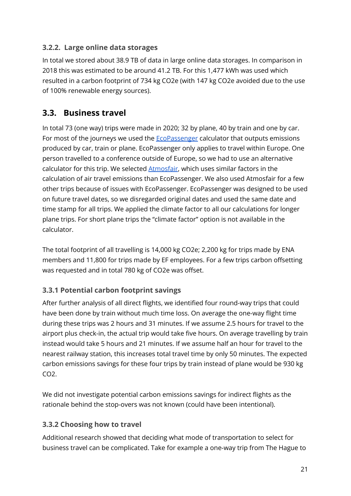#### **3.2.2. Large online data storages**

In total we stored about 38.9 TB of data in large online data storages. In comparison in 2018 this was estimated to be around 41.2 TB. For this 1,477 kWh was used which resulted in a carbon footprint of 734 kg CO2e (with 147 kg CO2e avoided due to the use of 100% renewable energy sources).

### <span id="page-21-0"></span>**3.3. Business travel**

In total 73 (one way) trips were made in 2020; 32 by plane, 40 by train and one by car. For most of the journeys we used the **[EcoPassenger](#page-35-5)** calculator that outputs emissions produced by car, train or plane. EcoPassenger only applies to travel within Europe. One person travelled to a conference outside of Europe, so we had to use an alternative calculator for this trip. We selected **[Atmosfair](#page-35-7)**, which uses similar factors in the calculation of air travel emissions than EcoPassenger. We also used Atmosfair for a few other trips because of issues with EcoPassenger. EcoPassenger was designed to be used on future travel dates, so we disregarded original dates and used the same date and time stamp for all trips. We applied the climate factor to all our calculations for longer plane trips. For short plane trips the "climate factor" option is not available in the calculator.

The total footprint of all travelling is 14,000 kg CO2e; 2,200 kg for trips made by ENA members and 11,800 for trips made by EF employees. For a few trips carbon offsetting was requested and in total 780 kg of CO2e was offset.

#### **3.3.1 Potential carbon footprint savings**

After further analysis of all direct flights, we identified four round-way trips that could have been done by train without much time loss. On average the one-way flight time during these trips was 2 hours and 31 minutes. If we assume 2.5 hours for travel to the airport plus check-in, the actual trip would take five hours. On average travelling by train instead would take 5 hours and 21 minutes. If we assume half an hour for travel to the nearest railway station, this increases total travel time by only 50 minutes. The expected carbon emissions savings for these four trips by train instead of plane would be 930 kg  $CO<sub>2</sub>$ 

We did not investigate potential carbon emissions savings for indirect flights as the rationale behind the stop-overs was not known (could have been intentional).

#### **3.3.2 Choosing how to travel**

Additional research showed that deciding what mode of transportation to select for business travel can be complicated. Take for example a one-way trip from The Hague to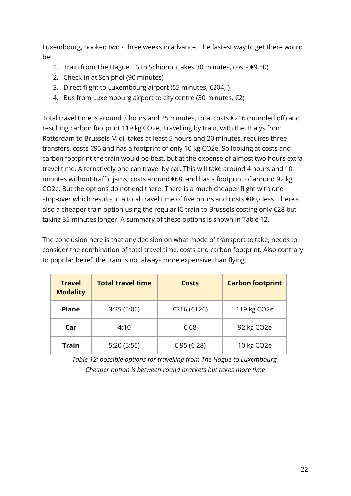Luxembourg, booked two - three weeks in advance. The fastest way to get there would be:

- 1. Train from The Hague HS to Schiphol (takes 30 minutes, costs €9,50)
- 2. Check-in at Schiphol (90 minutes)
- 3. Direct flight to Luxembourg airport (55 minutes, €204,-)
- 4. Bus from Luxembourg airport to city centre (30 minutes, €2)

Total travel time is around 3 hours and 25 minutes, total costs €216 (rounded off) and resulting carbon footprint 119 kg CO2e. Travelling by train, with the Thalys from Rotterdam to Brussels Midi, takes at least 5 hours and 20 minutes, requires three transfers, costs €95 and has a footprint of only 10 kg CO2e. So looking at costs and carbon footprint the train would be best, but at the expense of almost two hours extra travel time. Alternatively one can travel by car. This will take around 4 hours and 10 minutes without traffic jams, costs around €68, and has a footprint of around 92 kg CO2e. But the options do not end there. There is a much cheaper flight with one stop-over which results in a total travel time of five hours and costs €80,- less. There's also a cheaper train option using the regular IC train to Brussels costing only €28 but taking 35 minutes longer. A summary of these options is shown in Table 12.

The conclusion here is that any decision on what mode of transport to take, needs to consider the combination of total travel time, costs and carbon footprint. Also contrary to popular belief, the train is not always more expensive than flying.

| <b>Travel</b><br><b>Modality</b> | <b>Total travel time</b> | <b>Costs</b> | <b>Carbon footprint</b>  |
|----------------------------------|--------------------------|--------------|--------------------------|
| <b>Plane</b>                     | 3:25(5:00)               | €216 (€126)  | 119 kg CO <sub>2</sub> e |
| Car                              | 4:10                     | € 68         | 92 kg CO2e               |
| <b>Train</b>                     | 5:20(5:55)               | € 95 (€ 28)  | 10 kg CO2e               |

*Table 12: possible options for travelling from The Hague to Luxembourg. Cheaper option is between round brackets but takes more time*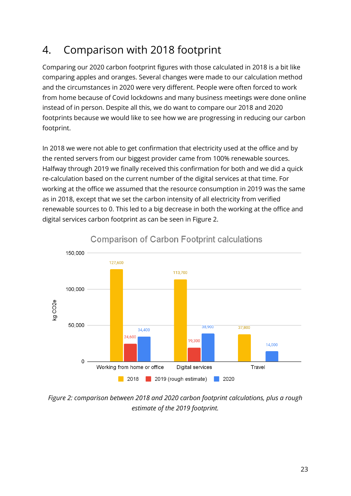## 4. Comparison with 2018 footprint

Comparing our 2020 carbon footprint figures with those calculated in 2018 is a bit like comparing apples and oranges. Several changes were made to our calculation method and the circumstances in 2020 were very different. People were often forced to work from home because of Covid lockdowns and many business meetings were done online instead of in person. Despite all this, we do want to compare our 2018 and 2020 footprints because we would like to see how we are progressing in reducing our carbon footprint.

In 2018 we were not able to get confirmation that electricity used at the office and by the rented servers from our biggest provider came from 100% renewable sources. Halfway through 2019 we finally received this confirmation for both and we did a quick re-calculation based on the current number of the digital services at that time. For working at the office we assumed that the resource consumption in 2019 was the same as in 2018, except that we set the carbon intensity of all electricity from verified renewable sources to 0. This led to a big decrease in both the working at the office and digital services carbon footprint as can be seen in Figure 2.



### **Comparison of Carbon Footprint calculations**

*Figure 2: comparison between 2018 and 2020 carbon footprint calculations, plus a rough estimate of the 2019 footprint.*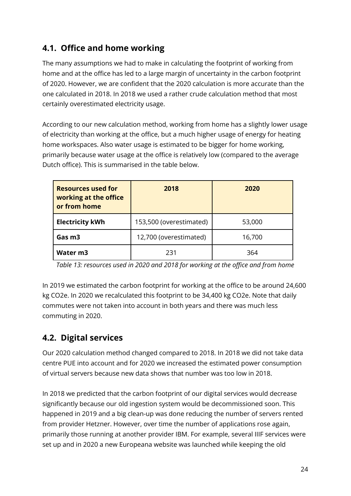## **4.1. Office and home working**

The many assumptions we had to make in calculating the footprint of working from home and at the office has led to a large margin of uncertainty in the carbon footprint of 2020. However, we are confident that the 2020 calculation is more accurate than the one calculated in 2018. In 2018 we used a rather crude calculation method that most certainly overestimated electricity usage.

According to our new calculation method, working from home has a slightly lower usage of electricity than working at the office, but a much higher usage of energy for heating home workspaces. Also water usage is estimated to be bigger for home working, primarily because water usage at the office is relatively low (compared to the average Dutch office). This is summarised in the table below.

| <b>Resources used for</b><br>working at the office<br>or from home | 2018                    | 2020   |
|--------------------------------------------------------------------|-------------------------|--------|
| <b>Electricity kWh</b>                                             | 153,500 (overestimated) | 53,000 |
| 12,700 (overestimated)<br>Gas m3                                   |                         | 16,700 |
| Water m3                                                           | 231                     | 364    |

*Table 13: resources used in 2020 and 2018 for working at the office and from home*

In 2019 we estimated the carbon footprint for working at the office to be around 24,600 kg CO2e. In 2020 we recalculated this footprint to be 34,400 kg CO2e. Note that daily commutes were not taken into account in both years and there was much less commuting in 2020.

## **4.2. Digital services**

Our 2020 calculation method changed compared to 2018. In 2018 we did not take data centre PUE into account and for 2020 we increased the estimated power consumption of virtual servers because new data shows that number was too low in 2018.

In 2018 we predicted that the carbon footprint of our digital services would decrease significantly because our old ingestion system would be decommissioned soon. This happened in 2019 and a big clean-up was done reducing the number of servers rented from provider Hetzner. However, over time the number of applications rose again, primarily those running at another provider IBM. For example, several IIIF services were set up and in 2020 a new Europeana website was launched while keeping the old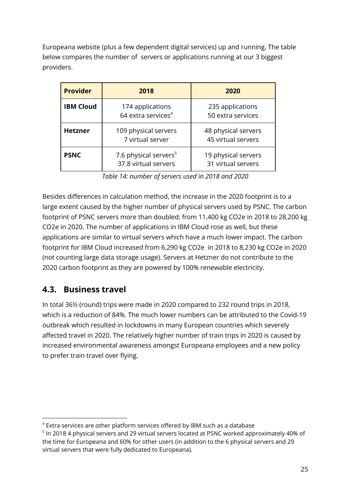Europeana website (plus a few dependent digital services) up and running. The table below compares the number of servers or applications running at our 3 biggest providers.

| <b>Provider</b>  | 2018                                                      | 2020                                      |
|------------------|-----------------------------------------------------------|-------------------------------------------|
| <b>IBM Cloud</b> | 174 applications<br>64 extra services <sup>4</sup>        | 235 applications<br>50 extra services     |
| <b>Hetzner</b>   | 109 physical servers<br>7 virtual server                  | 48 physical servers<br>45 virtual servers |
| <b>PSNC</b>      | 7.6 physical servers <sup>5</sup><br>37.8 virtual servers | 19 physical servers<br>31 virtual servers |

*Table 14: number of servers used in 2018 and 2020*

Besides differences in calculation method, the increase in the 2020 footprint is to a large extent caused by the higher number of physical servers used by PSNC. The carbon footprint of PSNC servers more than doubled; from 11,400 kg CO2e in 2018 to 28,200 kg CO2e in 2020. The number of applications in IBM Cloud rose as well, but these applications are similar to virtual servers which have a much lower impact. The carbon footprint for IBM Cloud increased from 6,290 kg CO2e in 2018 to 8,230 kg CO2e in 2020 (not counting large data storage usage). Servers at Hetzner do not contribute to the 2020 carbon footprint as they are powered by 100% renewable electricity.

### **4.3. Business travel**

In total 36½ (round) trips were made in 2020 compared to 232 round trips in 2018, which is a reduction of 84%. The much lower numbers can be attributed to the Covid-19 outbreak which resulted in lockdowns in many European countries which severely affected travel in 2020. The relatively higher number of train trips in 2020 is caused by increased environmental awareness amongst Europeana employees and a new policy to prefer train travel over flying.

<sup>4</sup> Extra services are other platform services offered by IBM such as a database

 $^{\rm 5}$  In 2018 4 physical servers and 29 virtual servers located at PSNC worked approximately 40% of the time for Europeana and 60% for other users (in addition to the 6 physical servers and 29 virtual servers that were fully dedicated to Europeana).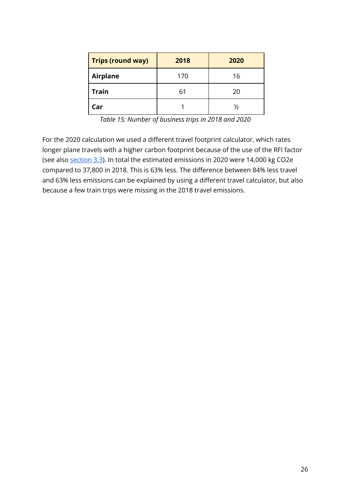| Trips (round way) | 2018      | 2020 |  |
|-------------------|-----------|------|--|
| <b>Airplane</b>   | 170<br>16 |      |  |
| <b>Train</b>      | 61        | 20   |  |
| Car               |           | ⅓    |  |

*Table 15: Number of business trips in 2018 and 2020*

For the 2020 calculation we used a different travel footprint calculator, which rates longer plane travels with a higher carbon footprint because of the use of the RFI factor (see also [section](#page-21-0) 3.3). In total the estimated emissions in 2020 were 14,000 kg CO2e compared to 37,800 in 2018. This is 63% less. The difference between 84% less travel and 63% less emissions can be explained by using a different travel calculator, but also because a few train trips were missing in the 2018 travel emissions.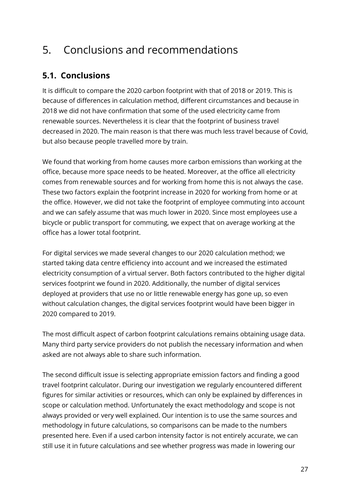## 5. Conclusions and recommendations

## **5.1. Conclusions**

It is difficult to compare the 2020 carbon footprint with that of 2018 or 2019. This is because of differences in calculation method, different circumstances and because in 2018 we did not have confirmation that some of the used electricity came from renewable sources. Nevertheless it is clear that the footprint of business travel decreased in 2020. The main reason is that there was much less travel because of Covid, but also because people travelled more by train.

We found that working from home causes more carbon emissions than working at the office, because more space needs to be heated. Moreover, at the office all electricity comes from renewable sources and for working from home this is not always the case. These two factors explain the footprint increase in 2020 for working from home or at the office. However, we did not take the footprint of employee commuting into account and we can safely assume that was much lower in 2020. Since most employees use a bicycle or public transport for commuting, we expect that on average working at the office has a lower total footprint.

For digital services we made several changes to our 2020 calculation method; we started taking data centre efficiency into account and we increased the estimated electricity consumption of a virtual server. Both factors contributed to the higher digital services footprint we found in 2020. Additionally, the number of digital services deployed at providers that use no or little renewable energy has gone up, so even without calculation changes, the digital services footprint would have been bigger in 2020 compared to 2019.

The most difficult aspect of carbon footprint calculations remains obtaining usage data. Many third party service providers do not publish the necessary information and when asked are not always able to share such information.

The second difficult issue is selecting appropriate emission factors and finding a good travel footprint calculator. During our investigation we regularly encountered different figures for similar activities or resources, which can only be explained by differences in scope or calculation method. Unfortunately the exact methodology and scope is not always provided or very well explained. Our intention is to use the same sources and methodology in future calculations, so comparisons can be made to the numbers presented here. Even if a used carbon intensity factor is not entirely accurate, we can still use it in future calculations and see whether progress was made in lowering our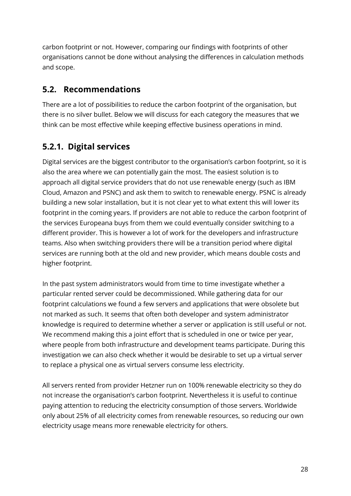carbon footprint or not. However, comparing our findings with footprints of other organisations cannot be done without analysing the differences in calculation methods and scope.

### **5.2. Recommendations**

There are a lot of possibilities to reduce the carbon footprint of the organisation, but there is no silver bullet. Below we will discuss for each category the measures that we think can be most effective while keeping effective business operations in mind.

## **5.2.1. Digital services**

Digital services are the biggest contributor to the organisation's carbon footprint, so it is also the area where we can potentially gain the most. The easiest solution is to approach all digital service providers that do not use renewable energy (such as IBM Cloud, Amazon and PSNC) and ask them to switch to renewable energy. PSNC is already building a new solar installation, but it is not clear yet to what extent this will lower its footprint in the coming years. If providers are not able to reduce the carbon footprint of the services Europeana buys from them we could eventually consider switching to a different provider. This is however a lot of work for the developers and infrastructure teams. Also when switching providers there will be a transition period where digital services are running both at the old and new provider, which means double costs and higher footprint.

In the past system administrators would from time to time investigate whether a particular rented server could be decommissioned. While gathering data for our footprint calculations we found a few servers and applications that were obsolete but not marked as such. It seems that often both developer and system administrator knowledge is required to determine whether a server or application is still useful or not. We recommend making this a joint effort that is scheduled in one or twice per year, where people from both infrastructure and development teams participate. During this investigation we can also check whether it would be desirable to set up a virtual server to replace a physical one as virtual servers consume less electricity.

All servers rented from provider Hetzner run on 100% renewable electricity so they do not increase the organisation's carbon footprint. Nevertheless it is useful to continue paying attention to reducing the electricity consumption of those servers. Worldwide only about 25% of all electricity comes from renewable resources, so reducing our own electricity usage means more renewable electricity for others.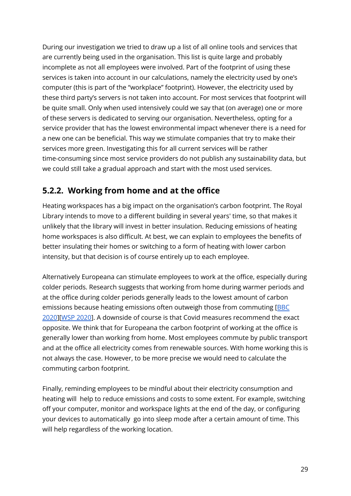During our investigation we tried to draw up a list of all online tools and services that are currently being used in the organisation. This list is quite large and probably incomplete as not all employees were involved. Part of the footprint of using these services is taken into account in our calculations, namely the electricity used by one's computer (this is part of the "workplace" footprint). However, the electricity used by these third party's servers is not taken into account. For most services that footprint will be quite small. Only when used intensively could we say that (on average) one or more of these servers is dedicated to serving our organisation. Nevertheless, opting for a service provider that has the lowest environmental impact whenever there is a need for a new one can be beneficial. This way we stimulate companies that try to make their services more green. Investigating this for all current services will be rather time-consuming since most service providers do not publish any sustainability data, but we could still take a gradual approach and start with the most used services.

### **5.2.2. Working from home and at the office**

Heating workspaces has a big impact on the organisation's carbon footprint. The Royal Library intends to move to a different building in several years' time, so that makes it unlikely that the library will invest in better insulation. Reducing emissions of heating home workspaces is also difficult. At best, we can explain to employees the benefits of better insulating their homes or switching to a form of heating with lower carbon intensity, but that decision is of course entirely up to each employee.

Alternatively Europeana can stimulate employees to work at the office, especially during colder periods. Research suggests that working from home during warmer periods and at the office during colder periods generally leads to the lowest amount of carbon emissions because heating emissions often outweigh those from commuting [[BBC](#page-35-8) [2020](#page-35-8)][WSP [2020](#page-36-8)]. A downside of course is that Covid measures recommend the exact opposite. We think that for Europeana the carbon footprint of working at the office is generally lower than working from home. Most employees commute by public transport and at the office all electricity comes from renewable sources. With home working this is not always the case. However, to be more precise we would need to calculate the commuting carbon footprint.

Finally, reminding employees to be mindful about their electricity consumption and heating will help to reduce emissions and costs to some extent. For example, switching off your computer, monitor and workspace lights at the end of the day, or configuring your devices to automatically go into sleep mode after a certain amount of time. This will help regardless of the working location.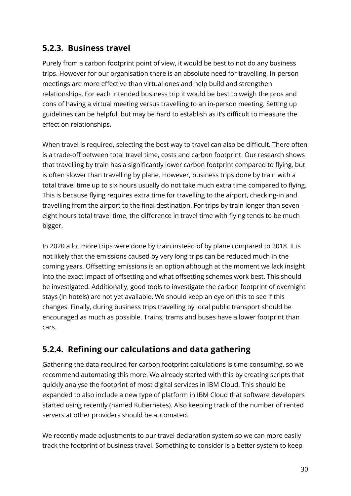### **5.2.3. Business travel**

Purely from a carbon footprint point of view, it would be best to not do any business trips. However for our organisation there is an absolute need for travelling. In-person meetings are more effective than virtual ones and help build and strengthen relationships. For each intended business trip it would be best to weigh the pros and cons of having a virtual meeting versus travelling to an in-person meeting. Setting up guidelines can be helpful, but may be hard to establish as it's difficult to measure the effect on relationships.

When travel is required, selecting the best way to travel can also be difficult. There often is a trade-off between total travel time, costs and carbon footprint. Our research shows that travelling by train has a significantly lower carbon footprint compared to flying, but is often slower than travelling by plane. However, business trips done by train with a total travel time up to six hours usually do not take much extra time compared to flying. This is because flying requires extra time for travelling to the airport, checking-in and travelling from the airport to the final destination. For trips by train longer than seven eight hours total travel time, the difference in travel time with flying tends to be much bigger.

In 2020 a lot more trips were done by train instead of by plane compared to 2018. It is not likely that the emissions caused by very long trips can be reduced much in the coming years. Offsetting emissions is an option although at the moment we lack insight into the exact impact of offsetting and what offsetting schemes work best. This should be investigated. Additionally, good tools to investigate the carbon footprint of overnight stays (in hotels) are not yet available. We should keep an eye on this to see if this changes. Finally, during business trips travelling by local public transport should be encouraged as much as possible. Trains, trams and buses have a lower footprint than cars.

## **5.2.4. Refining our calculations and data gathering**

Gathering the data required for carbon footprint calculations is time-consuming, so we recommend automating this more. We already started with this by creating scripts that quickly analyse the footprint of most digital services in IBM Cloud. This should be expanded to also include a new type of platform in IBM Cloud that software developers started using recently (named Kubernetes). Also keeping track of the number of rented servers at other providers should be automated.

We recently made adjustments to our travel declaration system so we can more easily track the footprint of business travel. Something to consider is a better system to keep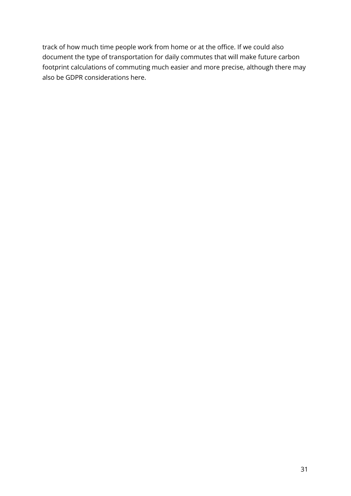track of how much time people work from home or at the office. If we could also document the type of transportation for daily commutes that will make future carbon footprint calculations of commuting much easier and more precise, although there may also be GDPR considerations here.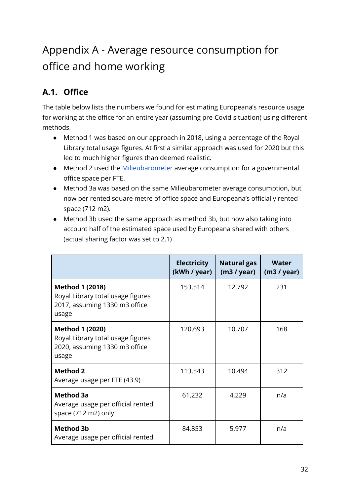## Appendix A - Average resource consumption for office and home working

## **A.1. Office**

The table below lists the numbers we found for estimating Europeana's resource usage for working at the office for an entire year (assuming pre-Covid situation) using different methods.

- Method 1 was based on our approach in 2018, using a percentage of the Royal Library total usage figures. At first a similar approach was used for 2020 but this led to much higher figures than deemed realistic.
- Method 2 used the [Milieubarometer](https://www.milieubarometer.nl/voorbeelden/kantoor/) average consumption for a governmental office space per FTE.
- Method 3a was based on the same Milieubarometer average consumption, but now per rented square metre of office space and Europeana's officially rented space (712 m2).
- Method 3b used the same approach as method 3b, but now also taking into account half of the estimated space used by Europeana shared with others (actual sharing factor was set to 2.1)

|                                                                                                       | <b>Electricity</b><br>(kWh / year) | <b>Natural gas</b><br>(m3 / year) | Water<br>(m3 / year) |
|-------------------------------------------------------------------------------------------------------|------------------------------------|-----------------------------------|----------------------|
| <b>Method 1 (2018)</b><br>Royal Library total usage figures<br>2017, assuming 1330 m3 office<br>usage | 153,514                            | 12,792                            | 231                  |
| <b>Method 1 (2020)</b><br>Royal Library total usage figures<br>2020, assuming 1330 m3 office<br>usage | 120,693                            | 10,707                            | 168                  |
| <b>Method 2</b><br>Average usage per FTE (43.9)                                                       | 113,543                            | 10,494                            | 312                  |
| <b>Method 3a</b><br>Average usage per official rented<br>space (712 m2) only                          | 61,232                             | 4,229                             | n/a                  |
| <b>Method 3b</b><br>Average usage per official rented                                                 | 84,853                             | 5,977                             | n/a                  |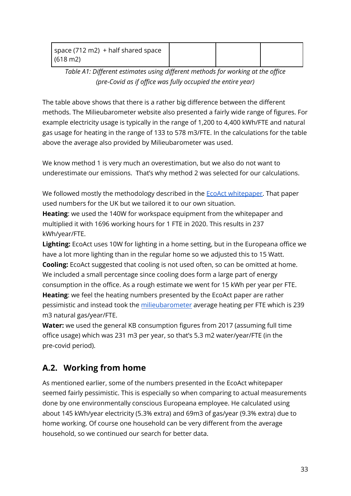| space (712 m2) + half shared space |  |  |
|------------------------------------|--|--|
| $(618 \text{ m2})$                 |  |  |

*Table A1: Different estimates using different methods for working at the office (pre-Covid as if office was fully occupied the entire year)*

The table above shows that there is a rather big difference between the different methods. The Milieubarometer website also presented a fairly wide range of figures. For example electricity usage is typically in the range of 1,200 to 4,400 kWh/FTE and natural gas usage for heating in the range of 133 to 578 m3/FTE. In the calculations for the table above the average also provided by Milieubarometer was used.

We know method 1 is very much an overestimation, but we also do not want to underestimate our emissions. That's why method 2 was selected for our calculations.

We followed mostly the methodology described in the **EcoAct whitepaper**. That paper used numbers for the UK but we tailored it to our own situation.

**Heating**: we used the 140W for workspace equipment from the whitepaper and multiplied it with 1696 working hours for 1 FTE in 2020. This results in 237 kWh/year/FTE.

**Lighting:** EcoAct uses 10W for lighting in a home setting, but in the Europeana office we have a lot more lighting than in the regular home so we adjusted this to 15 Watt. **Cooling:** EcoAct suggested that cooling is not used often, so can be omitted at home. We included a small percentage since cooling does form a large part of energy consumption in the office. As a rough estimate we went for 15 kWh per year per FTE. **Heating**: we feel the heating numbers presented by the EcoAct paper are rather pessimistic and instead took the [milieubarometer](https://www.milieubarometer.nl/voorbeelden/kantoor/) average heating per FTE which is 239 m3 natural gas/year/FTE.

**Water:** we used the general KB consumption figures from 2017 (assuming full time office usage) which was 231 m3 per year, so that's 5.3 m2 water/year/FTE (in the pre-covid period).

## **A.2. Working from home**

As mentioned earlier, some of the numbers presented in the EcoAct whitepaper seemed fairly pessimistic. This is especially so when comparing to actual measurements done by one environmentally conscious Europeana employee. He calculated using about 145 kWh/year electricity (5.3% extra) and 69m3 of gas/year (9.3% extra) due to home working. Of course one household can be very different from the average household, so we continued our search for better data.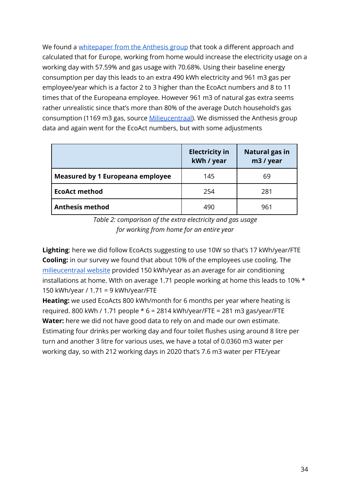We found a [whitepaper](https://www.anthesisgroup.com/wp-content/uploads/2021/02/Anthesis_-Remote-Worker-Emissions-Methodology_Feb-2021.pdf) from the Anthesis group that took a different approach and calculated that for Europe, working from home would increase the electricity usage on a working day with 57.59% and gas usage with 70.68%. Using their baseline energy consumption per day this leads to an extra 490 kWh electricity and 961 m3 gas per employee/year which is a factor 2 to 3 higher than the EcoAct numbers and 8 to 11 times that of the Europeana employee. However 961 m3 of natural gas extra seems rather unrealistic since that's more than 80% of the average Dutch household's gas consumption (1169 m3 gas, source [Milieucentraal](https://www.milieucentraal.nl/energie-besparen/inzicht-in-je-energierekening/gemiddeld-energieverbruik/)). We dismissed the Anthesis group data and again went for the EcoAct numbers, but with some adjustments

|                                         | <b>Electricity in</b><br>kWh / year | <b>Natural gas in</b><br>m3 / year |
|-----------------------------------------|-------------------------------------|------------------------------------|
| <b>Measured by 1 Europeana employee</b> | 145                                 | 69                                 |
| <b>EcoAct method</b>                    | 254                                 | 281                                |
| <b>Anthesis method</b>                  | 490                                 | 961                                |

*Table 2: comparison of the extra electricity and gas usage for working from home for an entire year*

**Lighting**: here we did follow EcoActs suggesting to use 10W so that's 17 kWh/year/FTE **Cooling:** in our survey we found that about 10% of the employees use cooling. The [milieucentraal](https://www.milieucentraal.nl/energie-besparen/duurzaam-verwarmen-en-koelen/airco-en-ventilatoren/) website provided 150 kWh/year as an average for air conditioning installations at home. WIth on average 1.71 people working at home this leads to 10% \* 150 kWh/year / 1.71 = 9 kWh/year/FTE

**Heating:** we used EcoActs 800 kWh/month for 6 months per year where heating is required. 800 kWh / 1.71 people  $* 6 = 2814$  kWh/year/FTE = 281 m3 gas/year/FTE **Water:** here we did not have good data to rely on and made our own estimate. Estimating four drinks per working day and four toilet flushes using around 8 litre per turn and another 3 litre for various uses, we have a total of 0.0360 m3 water per working day, so with 212 working days in 2020 that's 7.6 m3 water per FTE/year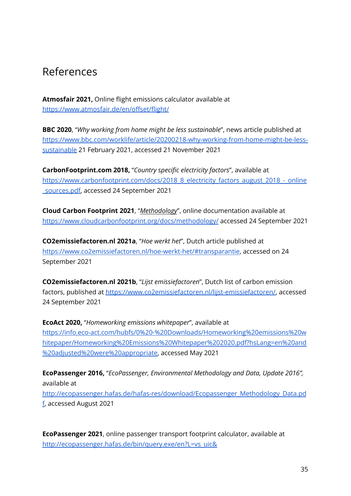## References

<span id="page-35-7"></span>**Atmosfair 2021,** Online flight emissions calculator available at <https://www.atmosfair.de/en/offset/flight/>

<span id="page-35-8"></span>**BBC 2020**, "*Why working from home might be less sustainable*", news article published at [https://www.bbc.com/worklife/article/20200218-why-working-from-home-might-be-less](https://www.bbc.com/worklife/article/20200218-why-working-from-home-might-be-less-sustainable)[sustainable](https://www.bbc.com/worklife/article/20200218-why-working-from-home-might-be-less-sustainable) 21 February 2021, accessed 21 November 2021

<span id="page-35-4"></span>**CarbonFootprint.com 2018,** "*Country specific electricity factors*", available at [https://www.carbonfootprint.com/docs/2018\\_8\\_electricity\\_factors\\_august\\_2018\\_-\\_online](https://www.carbonfootprint.com/docs/2018_8_electricity_factors_august_2018_-_online_sources.pdf) [\\_sources.pdf,](https://www.carbonfootprint.com/docs/2018_8_electricity_factors_august_2018_-_online_sources.pdf) accessed 24 September 2021

<span id="page-35-3"></span>**Cloud Carbon Footprint 2021**, "*Methodology*", online documentation available at <https://www.cloudcarbonfootprint.org/docs/methodology/> accessed 24 September 2021

<span id="page-35-0"></span>**CO2emissiefactoren.nl 2021a**, "*Hoe werkt het*", Dutch article published at <https://www.co2emissiefactoren.nl/hoe-werkt-het/#transparantie>, accessed on 24 September 2021

<span id="page-35-2"></span>**CO2emissiefactoren.nl 2021b**, "*Lijst emissiefactoren*", Dutch list of carbon emission factors, published at <https://www.co2emissiefactoren.nl/lijst-emissiefactoren/>, accessed 24 September 2021

<span id="page-35-1"></span>**EcoAct 2020,** "*Homeworking emissions whitepaper*", available at [https://info.eco-act.com/hubfs/0%20-%20Downloads/Homeworking%20emissions%20w](https://info.eco-act.com/hubfs/0%20-%20Downloads/Homeworking%20emissions%20whitepaper/Homeworking%20Emissions%20Whitepaper%202020.pdf?hsLang=en%20and%20adjusted%20were%20appropriate) [hitepaper/Homeworking%20Emissions%20Whitepaper%202020.pdf?hsLang=en%20and](https://info.eco-act.com/hubfs/0%20-%20Downloads/Homeworking%20emissions%20whitepaper/Homeworking%20Emissions%20Whitepaper%202020.pdf?hsLang=en%20and%20adjusted%20were%20appropriate) [%20adjusted%20were%20appropriate,](https://info.eco-act.com/hubfs/0%20-%20Downloads/Homeworking%20emissions%20whitepaper/Homeworking%20Emissions%20Whitepaper%202020.pdf?hsLang=en%20and%20adjusted%20were%20appropriate) accessed May 2021

<span id="page-35-6"></span>**EcoPassenger 2016,** "*EcoPassenger, Environmental Methodology and Data, Update 2016",* available at [http://ecopassenger.hafas.de/hafas-res/download/Ecopassenger\\_Methodology\\_Data.pd](http://ecopassenger.hafas.de/hafas-res/download/Ecopassenger_Methodology_Data.pdf) [f,](http://ecopassenger.hafas.de/hafas-res/download/Ecopassenger_Methodology_Data.pdf) accessed August 2021

<span id="page-35-5"></span>**EcoPassenger 2021**, online passenger transport footprint calculator, available at [http://ecopassenger.hafas.de/bin/query.exe/en?L=vs\\_uic&](http://ecopassenger.hafas.de/bin/query.exe/en?L=vs_uic&)